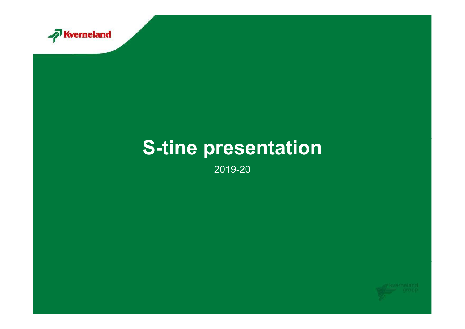

#### S-tine presentation

2019-20

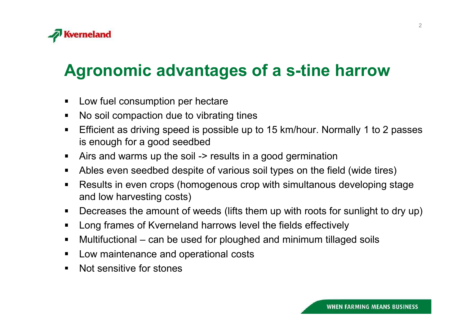

### **rneland<br>gronomic advantages of a s-tine harro**<br>Low fuel consumption per hectare<br>Efficient as driving speed is possible up to 15 km/hour. Normally 1 to **Exerneland<br>Agronomic advantages of a s-tine harrow**<br>• Low fuel consumption per hectare

- 
- $\blacksquare$
- Frechand<br>
Surfall compact and **and the solution of a set ine harrow**<br>
Low fuel consumption per hectare<br>
No soil compaction due to vibrating tines<br>
Efficient as driving speed is possible up to 15 km/hour. Normally 1 to 2 pa Frechand<br>
Expression and **COVID-MOVIDES COVIDENT ASSES**<br>
Low fuel consumption per hectare<br>
No soil compaction due to vibrating tines<br>
Efficient as driving speed is possible up to 15 km/hour. Normally 1 to 2 passes<br>
is enou **rneland**<br>**gronomic advantages of a s-tine ha**<br>Low fuel consumption per hectare<br>No soil compaction due to vibrating tines<br>Efficient as driving speed is possible up to 15 km/hour. Normal<br>is enough for a good seedbed<br>Airs an **Fredand<br>And Synch Conference in Section 2010 Compared Synchrom Compare in American<br>Actor fuel consumption per hectare<br>Airs and warms up the soil -> results in a good germination<br>Ables even seedbed despite of various soil Freland<br>Summing and Summing School School School School School School School School School School School School School**<br>Efficient as driving speed is possible up to 15 km/hour. Normally 1 to 2 passes<br>is enough for a good **gronomic advantages of a s-tine harrow**<br>Low fuel consumption per hectare<br>Reflicient as driving speed is possible up to 15 km/hour. Normally 1 to 2 passes<br>is enough for a good seedbed<br>Airs and warms up the soil -> results **CONDIMIC ACVANTAGES OT A S-TINE NATTOW**<br>
Low fuel consumption per hectare<br>
No soil compaction due to vibrating tines<br>
Efficient as driving speed is possible up to 15 km/hour. Normally 1 to 2 passes<br>
is enough for a good s Low fuel consumption per hectare<br>
No soil compaction due to vibrating tines<br>
Efficient as driving speed is possible up to 15 km/hour. Normally 1 to 2 passes<br>
is enough for a good seedbed<br>
Airs and warms up the soil -> resu Low fuel consumption per hectare<br>No soil compaction due to vibrating tines<br>Efficient as driving speed is possible up to 15 km/hour. Normally 1 to 2 passes<br>is enough for a good seedbed<br>Airs and warms up the soil -> results  $\blacksquare$
- $\blacksquare$
- $\blacksquare$
- **gronomic advantages of a s-tine h**<br>Low fuel consumption per hectare<br>No soil compaction due to vibrating tines<br>Efficient as driving speed is possible up to 15 km/hour. Norm<br>is enough for a good seedbed<br>Airs and warms up th No soil compaction due to vibrating tines<br>Efficient as driving speed is possible up to 15 km/hour. Normally 1 to 2 pass<br>is enough for a good seedbed<br>Airs and warms up the soil -> results in a good germination<br>Ables even se Efficient as driving speed is possible up to 15 km/hour. No<br>is enough for a good seedbed<br>Airs and warms up the soil -> results in a good germination<br>Ables even seedbed despite of various soil types on the fit<br>Results in ev  $\blacksquare$
- $\blacksquare$
- $\blacksquare$
- $\blacksquare$
- $\blacksquare$
- $\blacksquare$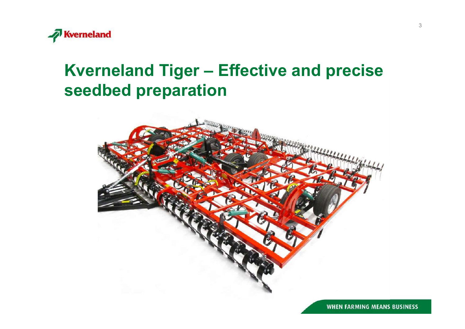

#### **Kverneland<br>Kverneland Tiger – Effective and precise<br>seedbed preparation** Kverneland<br>Kverneland Tiger – Effective and<br>seedbed preparation



**WHEN FARMING MEANS BUSINESS**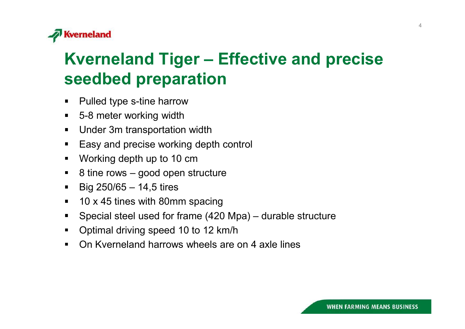

## **Example 18 Special steel deal of Frame Condom**<br>
S-8 meter working width<br>
Under 3m transportation width<br>
Easy and precise working depth control<br>
Working depth up to 10 cm<br>
8 tine rows – good open structure<br>
Big 250/65 – 14 Kverneland<br>Kverneland Tiger – Effective and precise<br>seedbed preparation seedbed preparation

- Pulled type s-tine harrow
- 5-8 meter working width  $\blacksquare$
- Under 3m transportation width  $\blacksquare$
- Easy and precise working depth control  $\blacksquare$
- Working depth up to 10 cm  $\blacksquare$
- 8 tine rows good open structure  $\blacksquare$
- Big 250/65 14,5 tires  $\blacksquare$
- 10 x 45 tines with 80mm spacing  $\blacksquare$
- Falled type s-line harrow<br>
5-8 meter working width<br>
Under 3m transportation width<br>
Easy and precise working depth control<br>
Working depth up to 10 cm<br>
8 tine rows good open structure<br>
Big 250/65 14,5 tires<br>
10 x 45 tine  $\blacksquare$
- Optimal driving speed 10 to 12 km/h  $\blacksquare$
- $\blacksquare$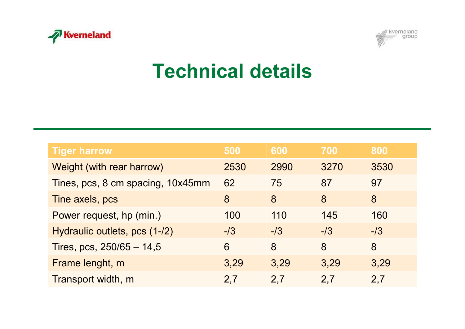



# Technical details

| kverneland<br><b>M</b> Kverneland<br>group<br><b>Technical details</b> |       |       |       |       |
|------------------------------------------------------------------------|-------|-------|-------|-------|
| <b>Tiger harrow</b>                                                    | 500   | 600   | 700   | 800   |
| Weight (with rear harrow)                                              | 2530  | 2990  | 3270  | 3530  |
| Tines, pcs, 8 cm spacing, 10x45mm                                      | 62    | 75    | 87    | 97    |
| Tine axels, pcs                                                        | 8     | 8     | 8     | 8     |
| Power request, hp (min.)                                               | 100   | 110   | 145   | 160   |
| Hydraulic outlets, pcs (1-/2)                                          | $-13$ | $-13$ | $-13$ | $-13$ |
| Tires, pcs, 250/65 - 14,5                                              | 6     | 8     | 8     | 8     |
| Frame lenght, m                                                        | 3,29  | 3,29  | 3,29  | 3,29  |
| Transport width, m                                                     | 2,7   | 2,7   | 2,7   | 2,7   |